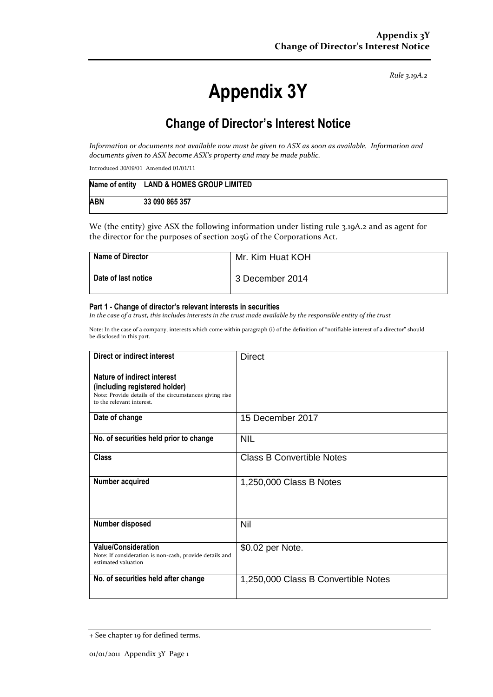*Rule 3.19A.2*

# **Appendix 3Y**

# **Change of Director's Interest Notice**

*Information or documents not available now must be given to ASX as soon as available. Information and documents given to ASX become ASX's property and may be made public.*

Introduced 30/09/01 Amended 01/01/11

|            | Name of entity LAND & HOMES GROUP LIMITED |
|------------|-------------------------------------------|
| <b>ABN</b> | 33 090 865 357                            |

We (the entity) give ASX the following information under listing rule 3.19A.2 and as agent for the director for the purposes of section 205G of the Corporations Act.

| <b>Name of Director</b> | Mr. Kim Huat KOH |
|-------------------------|------------------|
| Date of last notice     | 3 December 2014  |

#### **Part 1 - Change of director's relevant interests in securities**

*In the case of a trust, this includes interests in the trust made available by the responsible entity of the trust*

Note: In the case of a company, interests which come within paragraph (i) of the definition of "notifiable interest of a director" should be disclosed in this part.

| Direct or indirect interest                                                                                                                         | <b>Direct</b>                       |
|-----------------------------------------------------------------------------------------------------------------------------------------------------|-------------------------------------|
| Nature of indirect interest<br>(including registered holder)<br>Note: Provide details of the circumstances giving rise<br>to the relevant interest. |                                     |
| Date of change                                                                                                                                      | 15 December 2017                    |
| No. of securities held prior to change                                                                                                              | <b>NIL</b>                          |
| Class                                                                                                                                               | <b>Class B Convertible Notes</b>    |
| Number acquired                                                                                                                                     | 1,250,000 Class B Notes             |
| Number disposed                                                                                                                                     | Nil                                 |
| <b>Value/Consideration</b><br>Note: If consideration is non-cash, provide details and<br>estimated valuation                                        | \$0.02 per Note.                    |
| No. of securities held after change                                                                                                                 | 1,250,000 Class B Convertible Notes |

<sup>+</sup> See chapter 19 for defined terms.